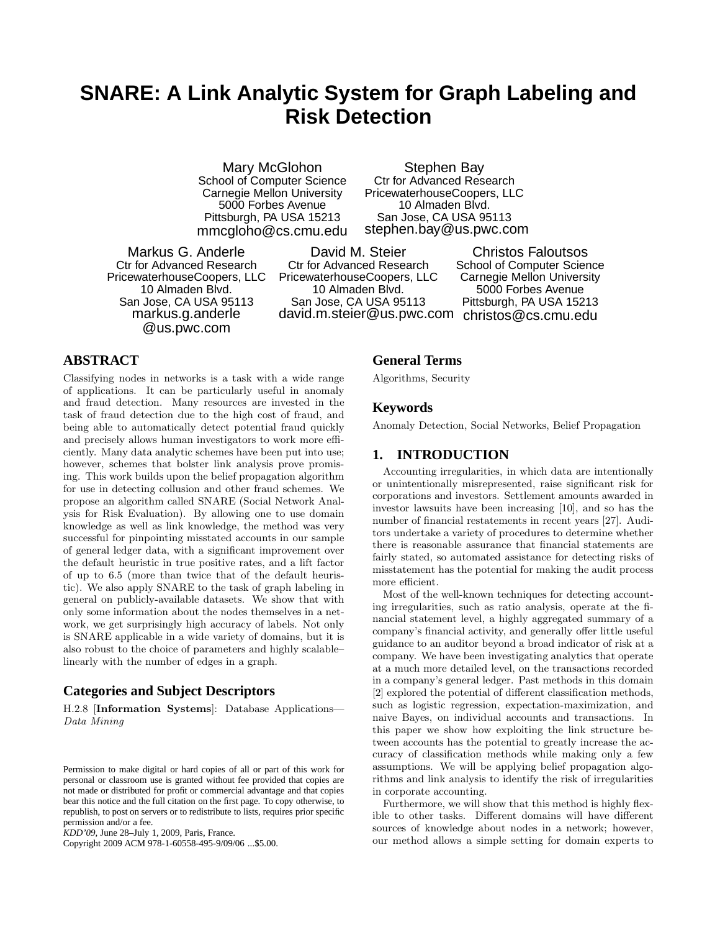# **SNARE: A Link Analytic System for Graph Labeling and Risk Detection**

Mary McGlohon School of Computer Science Carnegie Mellon University 5000 Forbes Avenue Pittsburgh, PA USA 15213 mmcgloho@cs.cmu.edu

Stephen Bay Ctr for Advanced Research PricewaterhouseCoopers, LLC 10 Almaden Blvd. San Jose, CA USA 95113 stephen.bay@us.pwc.com

Markus G. Anderle Ctr for Advanced Research PricewaterhouseCoopers, LLC 10 Almaden Blvd. San Jose, CA USA 95113 markus.g.anderle @us.pwc.com

David M. Steier Ctr for Advanced Research PricewaterhouseCoopers, LLC 10 Almaden Blvd. San Jose, CA USA 95113 david.m.steier@us.pwc.com christos@cs.cmu.edu

Christos Faloutsos School of Computer Science Carnegie Mellon University 5000 Forbes Avenue Pittsburgh, PA USA 15213

# **ABSTRACT**

Classifying nodes in networks is a task with a wide range of applications. It can be particularly useful in anomaly and fraud detection. Many resources are invested in the task of fraud detection due to the high cost of fraud, and being able to automatically detect potential fraud quickly and precisely allows human investigators to work more efficiently. Many data analytic schemes have been put into use; however, schemes that bolster link analysis prove promising. This work builds upon the belief propagation algorithm for use in detecting collusion and other fraud schemes. We propose an algorithm called SNARE (Social Network Analysis for Risk Evaluation). By allowing one to use domain knowledge as well as link knowledge, the method was very successful for pinpointing misstated accounts in our sample of general ledger data, with a significant improvement over the default heuristic in true positive rates, and a lift factor of up to 6.5 (more than twice that of the default heuristic). We also apply SNARE to the task of graph labeling in general on publicly-available datasets. We show that with only some information about the nodes themselves in a network, we get surprisingly high accuracy of labels. Not only is SNARE applicable in a wide variety of domains, but it is also robust to the choice of parameters and highly scalable– linearly with the number of edges in a graph.

# **Categories and Subject Descriptors**

H.2.8 [Information Systems]: Database Applications— Data Mining

Copyright 2009 ACM 978-1-60558-495-9/09/06 ...\$5.00.

# **General Terms**

Algorithms, Security

# **Keywords**

Anomaly Detection, Social Networks, Belief Propagation

# **1. INTRODUCTION**

Accounting irregularities, in which data are intentionally or unintentionally misrepresented, raise significant risk for corporations and investors. Settlement amounts awarded in investor lawsuits have been increasing [10], and so has the number of financial restatements in recent years [27]. Auditors undertake a variety of procedures to determine whether there is reasonable assurance that financial statements are fairly stated, so automated assistance for detecting risks of misstatement has the potential for making the audit process more efficient.

Most of the well-known techniques for detecting accounting irregularities, such as ratio analysis, operate at the financial statement level, a highly aggregated summary of a company's financial activity, and generally offer little useful guidance to an auditor beyond a broad indicator of risk at a company. We have been investigating analytics that operate at a much more detailed level, on the transactions recorded in a company's general ledger. Past methods in this domain [2] explored the potential of different classification methods, such as logistic regression, expectation-maximization, and naive Bayes, on individual accounts and transactions. In this paper we show how exploiting the link structure between accounts has the potential to greatly increase the accuracy of classification methods while making only a few assumptions. We will be applying belief propagation algorithms and link analysis to identify the risk of irregularities in corporate accounting.

Furthermore, we will show that this method is highly flexible to other tasks. Different domains will have different sources of knowledge about nodes in a network; however, our method allows a simple setting for domain experts to

Permission to make digital or hard copies of all or part of this work for personal or classroom use is granted without fee provided that copies are not made or distributed for profit or commercial advantage and that copies bear this notice and the full citation on the first page. To copy otherwise, to republish, to post on servers or to redistribute to lists, requires prior specific permission and/or a fee.

*KDD'09,* June 28–July 1, 2009, Paris, France.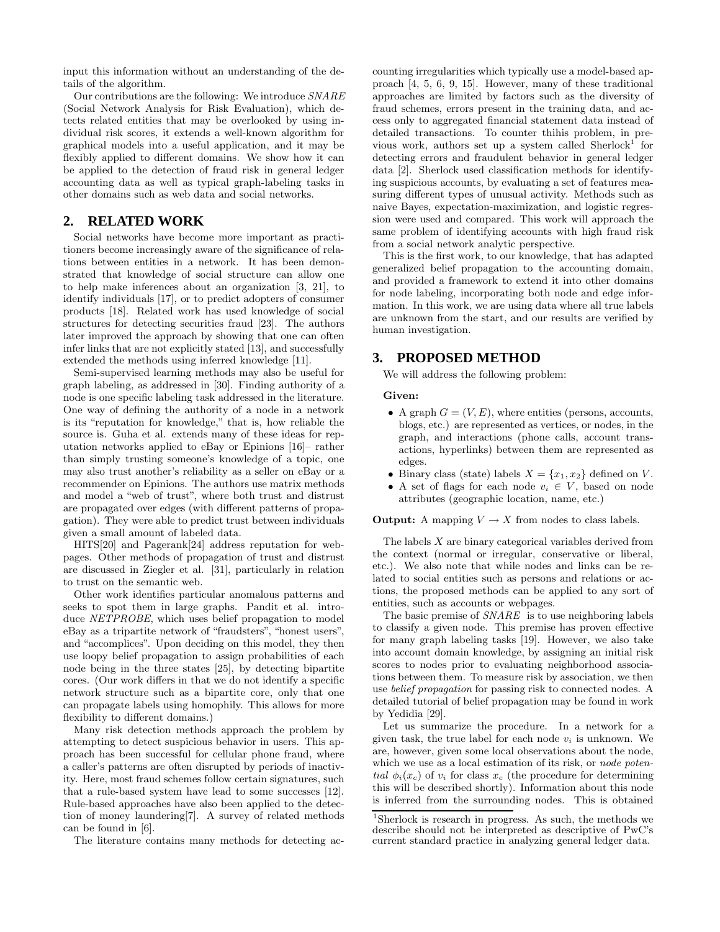input this information without an understanding of the details of the algorithm.

Our contributions are the following: We introduce SNARE (Social Network Analysis for Risk Evaluation), which detects related entities that may be overlooked by using individual risk scores, it extends a well-known algorithm for graphical models into a useful application, and it may be flexibly applied to different domains. We show how it can be applied to the detection of fraud risk in general ledger accounting data as well as typical graph-labeling tasks in other domains such as web data and social networks.

# **2. RELATED WORK**

Social networks have become more important as practitioners become increasingly aware of the significance of relations between entities in a network. It has been demonstrated that knowledge of social structure can allow one to help make inferences about an organization [3, 21], to identify individuals [17], or to predict adopters of consumer products [18]. Related work has used knowledge of social structures for detecting securities fraud [23]. The authors later improved the approach by showing that one can often infer links that are not explicitly stated [13], and successfully extended the methods using inferred knowledge [11].

Semi-supervised learning methods may also be useful for graph labeling, as addressed in [30]. Finding authority of a node is one specific labeling task addressed in the literature. One way of defining the authority of a node in a network is its "reputation for knowledge," that is, how reliable the source is. Guha et al. extends many of these ideas for reputation networks applied to eBay or Epinions [16]– rather than simply trusting someone's knowledge of a topic, one may also trust another's reliability as a seller on eBay or a recommender on Epinions. The authors use matrix methods and model a "web of trust", where both trust and distrust are propagated over edges (with different patterns of propagation). They were able to predict trust between individuals given a small amount of labeled data.

HITS[20] and Pagerank[24] address reputation for webpages. Other methods of propagation of trust and distrust are discussed in Ziegler et al. [31], particularly in relation to trust on the semantic web.

Other work identifies particular anomalous patterns and seeks to spot them in large graphs. Pandit et al. introduce NETPROBE, which uses belief propagation to model eBay as a tripartite network of "fraudsters", "honest users", and "accomplices". Upon deciding on this model, they then use loopy belief propagation to assign probabilities of each node being in the three states [25], by detecting bipartite cores. (Our work differs in that we do not identify a specific network structure such as a bipartite core, only that one can propagate labels using homophily. This allows for more flexibility to different domains.)

Many risk detection methods approach the problem by attempting to detect suspicious behavior in users. This approach has been successful for cellular phone fraud, where a caller's patterns are often disrupted by periods of inactivity. Here, most fraud schemes follow certain signatures, such that a rule-based system have lead to some successes [12]. Rule-based approaches have also been applied to the detection of money laundering[7]. A survey of related methods can be found in [6].

The literature contains many methods for detecting ac-

counting irregularities which typically use a model-based approach [4, 5, 6, 9, 15]. However, many of these traditional approaches are limited by factors such as the diversity of fraud schemes, errors present in the training data, and access only to aggregated financial statement data instead of detailed transactions. To counter thihis problem, in previous work, authors set up a system called Sherlock<sup>1</sup> for detecting errors and fraudulent behavior in general ledger data [2]. Sherlock used classification methods for identifying suspicious accounts, by evaluating a set of features measuring different types of unusual activity. Methods such as naive Bayes, expectation-maximization, and logistic regression were used and compared. This work will approach the same problem of identifying accounts with high fraud risk from a social network analytic perspective.

This is the first work, to our knowledge, that has adapted generalized belief propagation to the accounting domain, and provided a framework to extend it into other domains for node labeling, incorporating both node and edge information. In this work, we are using data where all true labels are unknown from the start, and our results are verified by human investigation.

## **3. PROPOSED METHOD**

We will address the following problem:

#### Given:

- A graph  $G = (V, E)$ , where entities (persons, accounts, blogs, etc.) are represented as vertices, or nodes, in the graph, and interactions (phone calls, account transactions, hyperlinks) between them are represented as edges.
- Binary class (state) labels  $X = \{x_1, x_2\}$  defined on V.
- A set of flags for each node  $v_i \in V$ , based on node attributes (geographic location, name, etc.)

**Output:** A mapping  $V \to X$  from nodes to class labels.

The labels  $X$  are binary categorical variables derived from the context (normal or irregular, conservative or liberal, etc.). We also note that while nodes and links can be related to social entities such as persons and relations or actions, the proposed methods can be applied to any sort of entities, such as accounts or webpages.

The basic premise of  $SNARE$  is to use neighboring labels to classify a given node. This premise has proven effective for many graph labeling tasks [19]. However, we also take into account domain knowledge, by assigning an initial risk scores to nodes prior to evaluating neighborhood associations between them. To measure risk by association, we then use belief propagation for passing risk to connected nodes. A detailed tutorial of belief propagation may be found in work by Yedidia [29].

Let us summarize the procedure. In a network for a given task, the true label for each node  $v_i$  is unknown. We are, however, given some local observations about the node, which we use as a local estimation of its risk, or *node poten*tial  $\phi_i(x_c)$  of  $v_i$  for class  $x_c$  (the procedure for determining this will be described shortly). Information about this node is inferred from the surrounding nodes. This is obtained

<sup>1</sup>Sherlock is research in progress. As such, the methods we describe should not be interpreted as descriptive of PwC's current standard practice in analyzing general ledger data.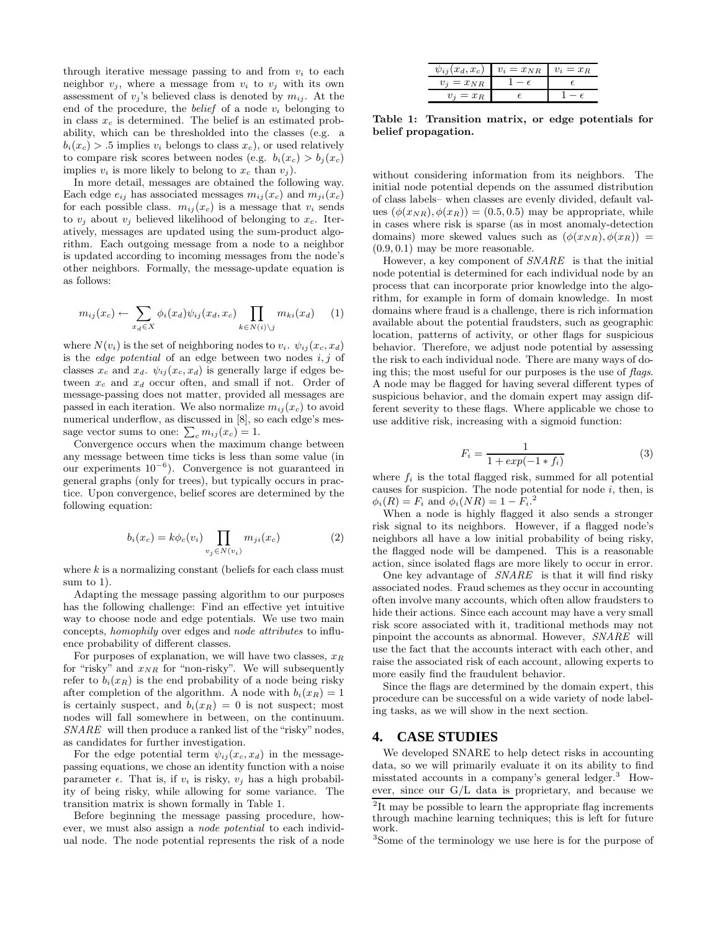through iterative message passing to and from  $v_i$  to each neighbor  $v_i$ , where a message from  $v_i$  to  $v_j$  with its own assessment of  $v_j$ 's believed class is denoted by  $m_{ij}$ . At the end of the procedure, the *belief* of a node  $v_i$  belonging to in class  $x_c$  is determined. The belief is an estimated probability, which can be thresholded into the classes (e.g. a  $b_i(x_c) > 0.5$  implies  $v_i$  belongs to class  $x_c$ , or used relatively to compare risk scores between nodes (e.g.  $b_i(x_c) > b_i(x_c)$ implies  $v_i$  is more likely to belong to  $x_c$  than  $v_i$ ).

In more detail, messages are obtained the following way. Each edge  $e_{ij}$  has associated messages  $m_{ij}(x_c)$  and  $m_{ji}(x_c)$ for each possible class.  $m_{ij}(x_c)$  is a message that  $v_i$  sends to  $v_i$  about  $v_i$  believed likelihood of belonging to  $x_c$ . Iteratively, messages are updated using the sum-product algorithm. Each outgoing message from a node to a neighbor is updated according to incoming messages from the node's other neighbors. Formally, the message-update equation is as follows:

$$
m_{ij}(x_c) \leftarrow \sum_{x_d \in X} \phi_i(x_d) \psi_{ij}(x_d, x_c) \prod_{k \in N(i) \setminus j} m_{ki}(x_d) \qquad (1)
$$

where  $N(v_i)$  is the set of neighboring nodes to  $v_i$ .  $\psi_{ij}(x_c, x_d)$ is the *edge potential* of an edge between two nodes  $i, j$  of classes  $x_c$  and  $x_d$ .  $\psi_{ij}(x_c, x_d)$  is generally large if edges between  $x_c$  and  $x_d$  occur often, and small if not. Order of message-passing does not matter, provided all messages are passed in each iteration. We also normalize  $m_{ij}(x_c)$  to avoid numerical underflow, as discussed in [8], so each edge's message vector sums to one:  $\sum_{c} m_{ij}(x_c) = 1$ .

Convergence occurs when the maximum change between any message between time ticks is less than some value (in our experiments 10<sup>−</sup><sup>6</sup> ). Convergence is not guaranteed in general graphs (only for trees), but typically occurs in practice. Upon convergence, belief scores are determined by the following equation:

$$
b_i(x_c) = k\phi_c(v_i) \prod_{v_j \in N(v_i)} m_{ji}(x_c)
$$
 (2)

where  $k$  is a normalizing constant (beliefs for each class must sum to 1).

Adapting the message passing algorithm to our purposes has the following challenge: Find an effective yet intuitive way to choose node and edge potentials. We use two main concepts, homophily over edges and node attributes to influence probability of different classes.

For purposes of explanation, we will have two classes,  $x_R$ for "risky" and  $x_{NR}$  for "non-risky". We will subsequently refer to  $b_i(x_R)$  is the end probability of a node being risky after completion of the algorithm. A node with  $b_i(x_R) = 1$ is certainly suspect, and  $b_i(x_R) = 0$  is not suspect; most nodes will fall somewhere in between, on the continuum. SNARE will then produce a ranked list of the "risky" nodes, as candidates for further investigation.

For the edge potential term  $\psi_{ij}(x_c, x_d)$  in the messagepassing equations, we chose an identity function with a noise parameter  $\epsilon$ . That is, if  $v_i$  is risky,  $v_j$  has a high probability of being risky, while allowing for some variance. The transition matrix is shown formally in Table 1.

Before beginning the message passing procedure, however, we must also assign a node potential to each individual node. The node potential represents the risk of a node

| $\psi_{ij}(x_d, x_c)$ | $v_i = x_{NR}$ $v_i = x_R$ |  |
|-----------------------|----------------------------|--|
| $v_i = x_{NR}$        |                            |  |
| $= x_B$               |                            |  |

Table 1: Transition matrix, or edge potentials for belief propagation.

without considering information from its neighbors. The initial node potential depends on the assumed distribution of class labels– when classes are evenly divided, default values  $(\phi(x_{NR}), \phi(x_R)) = (0.5, 0.5)$  may be appropriate, while in cases where risk is sparse (as in most anomaly-detection domains) more skewed values such as  $(\phi(x_{NR}), \phi(x_R))$  = (0.9, 0.1) may be more reasonable.

However, a key component of SNARE is that the initial node potential is determined for each individual node by an process that can incorporate prior knowledge into the algorithm, for example in form of domain knowledge. In most domains where fraud is a challenge, there is rich information available about the potential fraudsters, such as geographic location, patterns of activity, or other flags for suspicious behavior. Therefore, we adjust node potential by assessing the risk to each individual node. There are many ways of doing this; the most useful for our purposes is the use of flags. A node may be flagged for having several different types of suspicious behavior, and the domain expert may assign different severity to these flags. Where applicable we chose to use additive risk, increasing with a sigmoid function:

$$
F_i = \frac{1}{1 + exp(-1 * f_i)}
$$
(3)

where  $f_i$  is the total flagged risk, summed for all potential causes for suspicion. The node potential for node  $i$ , then, is  $\phi_i(R) = F_i$  and  $\phi_i(NR) = 1 - F_i$ <sup>2</sup>

When a node is highly flagged it also sends a stronger risk signal to its neighbors. However, if a flagged node's neighbors all have a low initial probability of being risky, the flagged node will be dampened. This is a reasonable action, since isolated flags are more likely to occur in error.

One key advantage of SNARE is that it will find risky associated nodes. Fraud schemes as they occur in accounting often involve many accounts, which often allow fraudsters to hide their actions. Since each account may have a very small risk score associated with it, traditional methods may not pinpoint the accounts as abnormal. However, SNARE will use the fact that the accounts interact with each other, and raise the associated risk of each account, allowing experts to more easily find the fraudulent behavior.

Since the flags are determined by the domain expert, this procedure can be successful on a wide variety of node labeling tasks, as we will show in the next section.

# **4. CASE STUDIES**

We developed SNARE to help detect risks in accounting data, so we will primarily evaluate it on its ability to find misstated accounts in a company's general ledger.<sup>3</sup> However, since our G/L data is proprietary, and because we

<sup>&</sup>lt;sup>2</sup>It may be possible to learn the appropriate flag increments through machine learning techniques; this is left for future work.

<sup>3</sup>Some of the terminology we use here is for the purpose of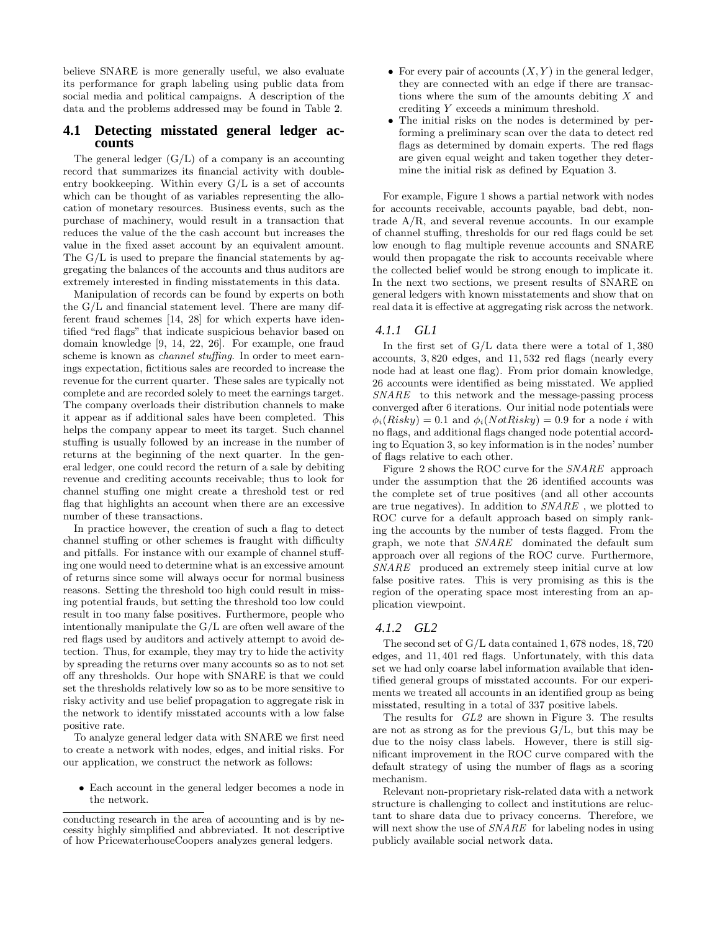believe SNARE is more generally useful, we also evaluate its performance for graph labeling using public data from social media and political campaigns. A description of the data and the problems addressed may be found in Table 2.

### **4.1 Detecting misstated general ledger accounts**

The general ledger  $(G/L)$  of a company is an accounting record that summarizes its financial activity with doubleentry bookkeeping. Within every  $G/L$  is a set of accounts which can be thought of as variables representing the allocation of monetary resources. Business events, such as the purchase of machinery, would result in a transaction that reduces the value of the the cash account but increases the value in the fixed asset account by an equivalent amount. The G/L is used to prepare the financial statements by aggregating the balances of the accounts and thus auditors are extremely interested in finding misstatements in this data.

Manipulation of records can be found by experts on both the G/L and financial statement level. There are many different fraud schemes [14, 28] for which experts have identified "red flags" that indicate suspicious behavior based on domain knowledge [9, 14, 22, 26]. For example, one fraud scheme is known as channel stuffing. In order to meet earnings expectation, fictitious sales are recorded to increase the revenue for the current quarter. These sales are typically not complete and are recorded solely to meet the earnings target. The company overloads their distribution channels to make it appear as if additional sales have been completed. This helps the company appear to meet its target. Such channel stuffing is usually followed by an increase in the number of returns at the beginning of the next quarter. In the general ledger, one could record the return of a sale by debiting revenue and crediting accounts receivable; thus to look for channel stuffing one might create a threshold test or red flag that highlights an account when there are an excessive number of these transactions.

In practice however, the creation of such a flag to detect channel stuffing or other schemes is fraught with difficulty and pitfalls. For instance with our example of channel stuffing one would need to determine what is an excessive amount of returns since some will always occur for normal business reasons. Setting the threshold too high could result in missing potential frauds, but setting the threshold too low could result in too many false positives. Furthermore, people who intentionally manipulate the G/L are often well aware of the red flags used by auditors and actively attempt to avoid detection. Thus, for example, they may try to hide the activity by spreading the returns over many accounts so as to not set off any thresholds. Our hope with SNARE is that we could set the thresholds relatively low so as to be more sensitive to risky activity and use belief propagation to aggregate risk in the network to identify misstated accounts with a low false positive rate.

To analyze general ledger data with SNARE we first need to create a network with nodes, edges, and initial risks. For our application, we construct the network as follows:

• Each account in the general ledger becomes a node in the network.

- For every pair of accounts  $(X, Y)$  in the general ledger, they are connected with an edge if there are transactions where the sum of the amounts debiting X and crediting Y exceeds a minimum threshold.
- The initial risks on the nodes is determined by performing a preliminary scan over the data to detect red flags as determined by domain experts. The red flags are given equal weight and taken together they determine the initial risk as defined by Equation 3.

For example, Figure 1 shows a partial network with nodes for accounts receivable, accounts payable, bad debt, nontrade A/R, and several revenue accounts. In our example of channel stuffing, thresholds for our red flags could be set low enough to flag multiple revenue accounts and SNARE would then propagate the risk to accounts receivable where the collected belief would be strong enough to implicate it. In the next two sections, we present results of SNARE on general ledgers with known misstatements and show that on real data it is effective at aggregating risk across the network.

# *4.1.1 GL1*

In the first set of G/L data there were a total of 1, 380 accounts, 3, 820 edges, and 11, 532 red flags (nearly every node had at least one flag). From prior domain knowledge, 26 accounts were identified as being misstated. We applied SNARE to this network and the message-passing process converged after 6 iterations. Our initial node potentials were  $\phi_i(Risky) = 0.1$  and  $\phi_i(NotRisky) = 0.9$  for a node *i* with no flags, and additional flags changed node potential according to Equation 3, so key information is in the nodes' number of flags relative to each other.

Figure 2 shows the ROC curve for the SNARE approach under the assumption that the 26 identified accounts was the complete set of true positives (and all other accounts are true negatives). In addition to SNARE , we plotted to ROC curve for a default approach based on simply ranking the accounts by the number of tests flagged. From the graph, we note that SNARE dominated the default sum approach over all regions of the ROC curve. Furthermore, SNARE produced an extremely steep initial curve at low false positive rates. This is very promising as this is the region of the operating space most interesting from an application viewpoint.

## *4.1.2 GL2*

The second set of G/L data contained 1, 678 nodes, 18, 720 edges, and 11, 401 red flags. Unfortunately, with this data set we had only coarse label information available that identified general groups of misstated accounts. For our experiments we treated all accounts in an identified group as being misstated, resulting in a total of 337 positive labels.

The results for GL2 are shown in Figure 3. The results are not as strong as for the previous  $G/L$ , but this may be due to the noisy class labels. However, there is still significant improvement in the ROC curve compared with the default strategy of using the number of flags as a scoring mechanism.

Relevant non-proprietary risk-related data with a network structure is challenging to collect and institutions are reluctant to share data due to privacy concerns. Therefore, we will next show the use of  $SNARE$  for labeling nodes in using publicly available social network data.

conducting research in the area of accounting and is by necessity highly simplified and abbreviated. It not descriptive of how PricewaterhouseCoopers analyzes general ledgers.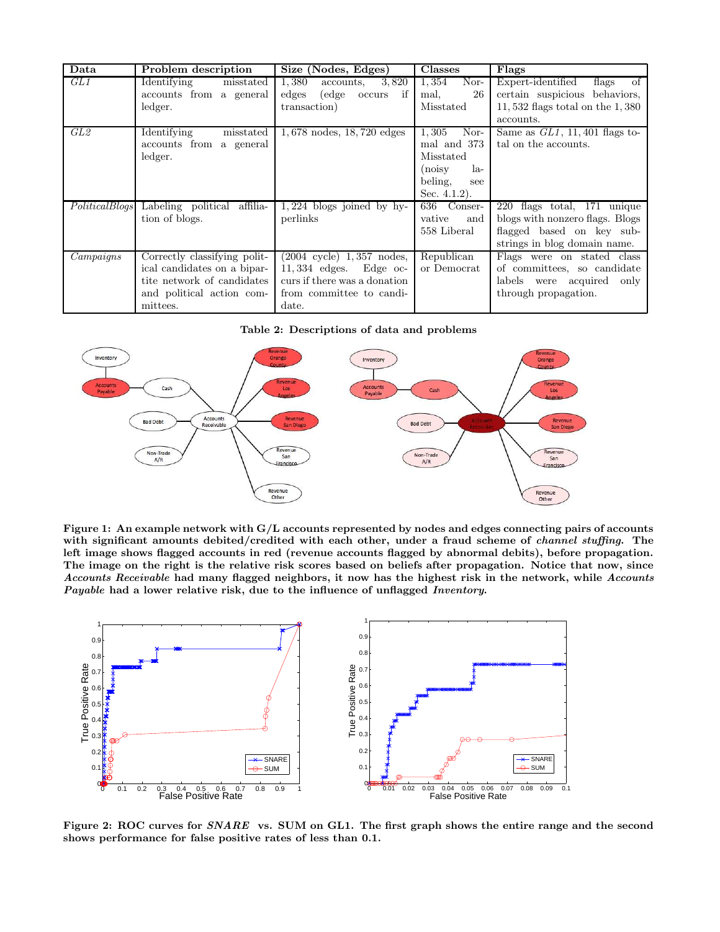| Data      | Problem description                        | Size (Nodes, Edges)                  | Classes          | Flags                              |
|-----------|--------------------------------------------|--------------------------------------|------------------|------------------------------------|
| GL1       | Identifying<br>misstated                   | 1,380<br>3,820<br>accounts,          | 1,354<br>Nor-    | Expert-identified<br>flags<br>of   |
|           | accounts from a general                    | $_{\rm edges}$<br>edge occurs<br>if  | 26<br>mal,       | certain suspicious behaviors,      |
|           | ledger.                                    | transaction)                         | Misstated        | 11, 532 flags total on the $1,380$ |
|           |                                            |                                      |                  | accounts.                          |
| GL2       | Identifying<br>misstated                   | $1,678$ nodes, $18,720$ edges        | 1,305<br>Nor-    | Same as $GL1$ , 11, 401 flags to-  |
|           | accounts from a general                    |                                      | mal and 373      | tal on the accounts.               |
|           | ledger.                                    |                                      | <b>Misstated</b> |                                    |
|           |                                            |                                      | (noisy<br>la-    |                                    |
|           |                                            |                                      | beling,<br>see   |                                    |
|           |                                            |                                      | Sec. $4.1.2$ ).  |                                    |
|           | PoliticalBlogs Labeling political affilia- | $1,224$ blogs joined by hy-          | 636 Conser-      | 220 flags total, 171 unique        |
|           | tion of blogs.                             | perlinks                             | vative<br>and    | blogs with nonzero flags. Blogs    |
|           |                                            |                                      | 558 Liberal      | flagged based on key sub-          |
|           |                                            |                                      |                  | strings in blog domain name.       |
| Campaigns | Correctly classifying polit-               | $(2004 \text{ cycle})$ 1, 357 nodes, | Republican       | Flags were on stated class         |
|           | ical candidates on a bipar-                | $11,334$ edges. Edge oc-             | or Democrat      | of committees, so candidate        |
|           | tite network of candidates                 | curs if there was a donation         |                  | labels were acquired only          |
|           | and political action com-                  | from committee to candi-             |                  | through propagation.               |
|           | mittees.                                   | date.                                |                  |                                    |

#### Table 2: Descriptions of data and problems



Figure 1: An example network with G/L accounts represented by nodes and edges connecting pairs of accounts with significant amounts debited/credited with each other, under a fraud scheme of *channel stuffing*. The left image shows flagged accounts in red (revenue accounts flagged by abnormal debits), before propagation. The image on the right is the relative risk scores based on beliefs after propagation. Notice that now, since Accounts Receivable had many flagged neighbors, it now has the highest risk in the network, while Accounts Payable had a lower relative risk, due to the influence of unflagged Inventory.



Figure 2: ROC curves for *SNARE* vs. SUM on GL1. The first graph shows the entire range and the second shows performance for false positive rates of less than 0.1.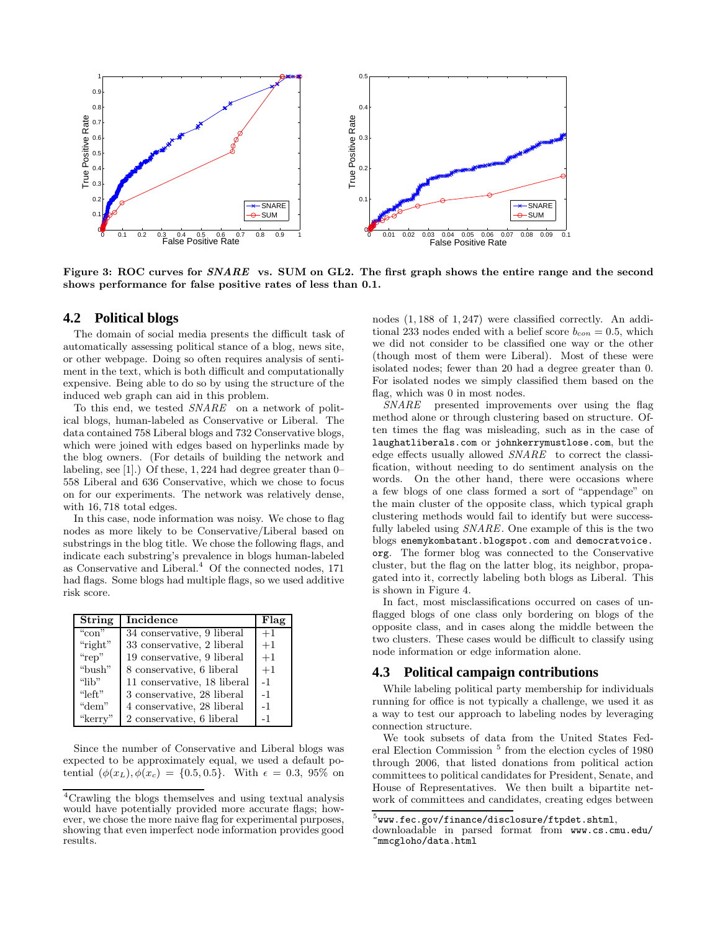

Figure 3: ROC curves for  $SNARE$  vs. SUM on GL2. The first graph shows the entire range and the second shows performance for false positive rates of less than 0.1.

#### **4.2 Political blogs**

The domain of social media presents the difficult task of automatically assessing political stance of a blog, news site, or other webpage. Doing so often requires analysis of sentiment in the text, which is both difficult and computationally expensive. Being able to do so by using the structure of the induced web graph can aid in this problem.

To this end, we tested SNARE on a network of political blogs, human-labeled as Conservative or Liberal. The data contained 758 Liberal blogs and 732 Conservative blogs, which were joined with edges based on hyperlinks made by the blog owners. (For details of building the network and labeling, see [1].) Of these, 1, 224 had degree greater than 0– 558 Liberal and 636 Conservative, which we chose to focus on for our experiments. The network was relatively dense, with 16, 718 total edges.

In this case, node information was noisy. We chose to flag nodes as more likely to be Conservative/Liberal based on substrings in the blog title. We chose the following flags, and indicate each substring's prevalence in blogs human-labeled as Conservative and Liberal.<sup>4</sup> Of the connected nodes, 171 had flags. Some blogs had multiple flags, so we used additive risk score.

| String    | Incidence                   | Flag |
|-----------|-----------------------------|------|
| " $con"$  | 34 conservative, 9 liberal  | $+1$ |
| "right"   | 33 conservative, 2 liberal  | $+1$ |
| " $rep$ " | 19 conservative, 9 liberal  | $+1$ |
| "bush"    | 8 conservative, 6 liberal   | $+1$ |
| "lib"     | 11 conservative, 18 liberal | $-1$ |
| " $left"$ | 3 conservative, 28 liberal  | -1   |
| "dem"     | 4 conservative, 28 liberal  | -1   |
| "kerry"   | 2 conservative, 6 liberal   | -1   |

Since the number of Conservative and Liberal blogs was expected to be approximately equal, we used a default potential  $(\phi(x_L), \phi(x_C) = \{0.5, 0.5\}$ . With  $\epsilon = 0.3, 95\%$  on nodes (1, 188 of 1, 247) were classified correctly. An additional 233 nodes ended with a belief score  $b_{con} = 0.5$ , which we did not consider to be classified one way or the other (though most of them were Liberal). Most of these were isolated nodes; fewer than 20 had a degree greater than 0. For isolated nodes we simply classified them based on the flag, which was 0 in most nodes.

SNARE presented improvements over using the flag method alone or through clustering based on structure. Often times the flag was misleading, such as in the case of laughatliberals.com or johnkerrymustlose.com, but the edge effects usually allowed SNARE to correct the classification, without needing to do sentiment analysis on the words. On the other hand, there were occasions where a few blogs of one class formed a sort of "appendage" on the main cluster of the opposite class, which typical graph clustering methods would fail to identify but were successfully labeled using SNARE. One example of this is the two blogs enemykombatant.blogspot.com and democratvoice. org. The former blog was connected to the Conservative cluster, but the flag on the latter blog, its neighbor, propagated into it, correctly labeling both blogs as Liberal. This is shown in Figure 4.

In fact, most misclassifications occurred on cases of unflagged blogs of one class only bordering on blogs of the opposite class, and in cases along the middle between the two clusters. These cases would be difficult to classify using node information or edge information alone.

#### **4.3 Political campaign contributions**

While labeling political party membership for individuals running for office is not typically a challenge, we used it as a way to test our approach to labeling nodes by leveraging connection structure.

We took subsets of data from the United States Federal Election Commission<sup>5</sup> from the election cycles of 1980 through 2006, that listed donations from political action committees to political candidates for President, Senate, and House of Representatives. We then built a bipartite network of committees and candidates, creating edges between

<sup>4</sup>Crawling the blogs themselves and using textual analysis would have potentially provided more accurate flags; however, we chose the more naive flag for experimental purposes, showing that even imperfect node information provides good results.

 $^5$ www.fec.gov/finance/disclosure/ftpdet.shtml,

downloadable in parsed format from www.cs.cmu.edu/ ~mmcgloho/data.html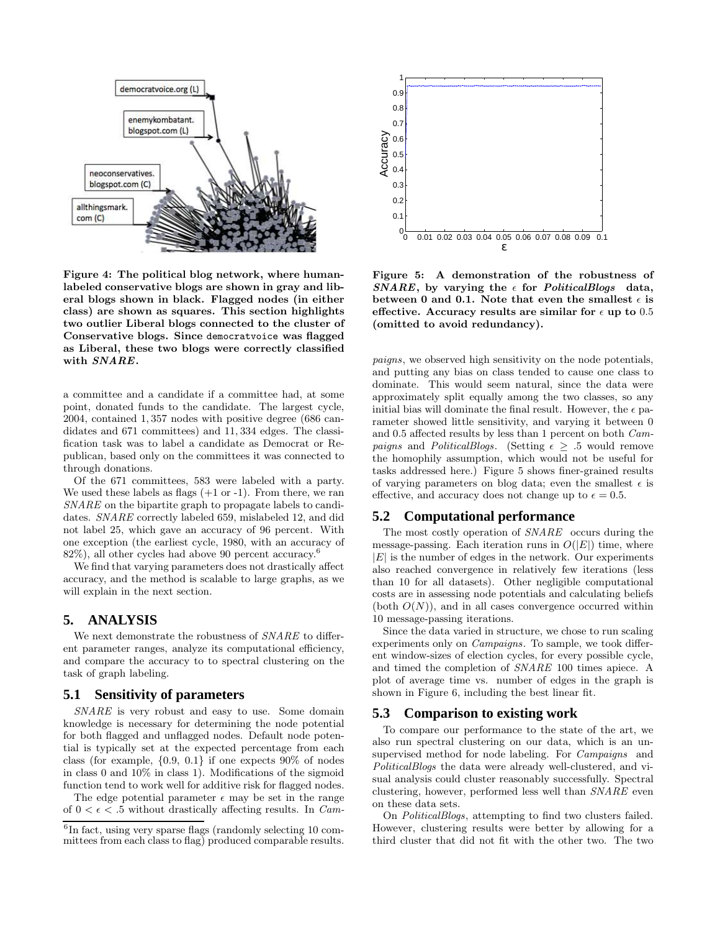

Figure 4: The political blog network, where humanlabeled conservative blogs are shown in gray and liberal blogs shown in black. Flagged nodes (in either class) are shown as squares. This section highlights two outlier Liberal blogs connected to the cluster of Conservative blogs. Since democratvoice was flagged as Liberal, these two blogs were correctly classified with SNARE.

a committee and a candidate if a committee had, at some point, donated funds to the candidate. The largest cycle, 2004, contained 1, 357 nodes with positive degree (686 candidates and 671 committees) and 11, 334 edges. The classification task was to label a candidate as Democrat or Republican, based only on the committees it was connected to through donations.

Of the 671 committees, 583 were labeled with a party. We used these labels as flags  $(+1 \text{ or } -1)$ . From there, we ran SNARE on the bipartite graph to propagate labels to candidates. SNARE correctly labeled 659, mislabeled 12, and did not label 25, which gave an accuracy of 96 percent. With one exception (the earliest cycle, 1980, with an accuracy of 82%), all other cycles had above 90 percent accuracy.<sup>6</sup>

We find that varying parameters does not drastically affect accuracy, and the method is scalable to large graphs, as we will explain in the next section.

# **5. ANALYSIS**

We next demonstrate the robustness of  $SNARE$  to different parameter ranges, analyze its computational efficiency, and compare the accuracy to to spectral clustering on the task of graph labeling.

## **5.1 Sensitivity of parameters**

SNARE is very robust and easy to use. Some domain knowledge is necessary for determining the node potential for both flagged and unflagged nodes. Default node potential is typically set at the expected percentage from each class (for example,  $\{0.9, 0.1\}$ ) if one expects  $90\%$  of nodes in class 0 and 10% in class 1). Modifications of the sigmoid function tend to work well for additive risk for flagged nodes.

The edge potential parameter  $\epsilon$  may be set in the range of  $0 < \epsilon < .5$  without drastically affecting results. In *Cam*-



Figure 5: A demonstration of the robustness of SNARE, by varying the  $\epsilon$  for PoliticalBlogs data, between 0 and 0.1. Note that even the smallest  $\epsilon$  is effective. Accuracy results are similar for  $\epsilon$  up to 0.5 (omitted to avoid redundancy).

paigns, we observed high sensitivity on the node potentials, and putting any bias on class tended to cause one class to dominate. This would seem natural, since the data were approximately split equally among the two classes, so any initial bias will dominate the final result. However, the  $\epsilon$  parameter showed little sensitivity, and varying it between 0 and 0.5 affected results by less than 1 percent on both Campaigns and PoliticalBlogs. (Setting  $\epsilon \geq .5$  would remove the homophily assumption, which would not be useful for tasks addressed here.) Figure 5 shows finer-grained results of varying parameters on blog data; even the smallest  $\epsilon$  is effective, and accuracy does not change up to  $\epsilon = 0.5$ .

# **5.2 Computational performance**

The most costly operation of *SNARE* occurs during the message-passing. Each iteration runs in  $O(|E|)$  time, where  $|E|$  is the number of edges in the network. Our experiments also reached convergence in relatively few iterations (less than 10 for all datasets). Other negligible computational costs are in assessing node potentials and calculating beliefs (both  $O(N)$ ), and in all cases convergence occurred within 10 message-passing iterations.

Since the data varied in structure, we chose to run scaling experiments only on Campaigns. To sample, we took different window-sizes of election cycles, for every possible cycle, and timed the completion of SNARE 100 times apiece. A plot of average time vs. number of edges in the graph is shown in Figure 6, including the best linear fit.

#### **5.3 Comparison to existing work**

To compare our performance to the state of the art, we also run spectral clustering on our data, which is an unsupervised method for node labeling. For Campaigns and PoliticalBlogs the data were already well-clustered, and visual analysis could cluster reasonably successfully. Spectral clustering, however, performed less well than SNARE even on these data sets.

On PoliticalBlogs, attempting to find two clusters failed. However, clustering results were better by allowing for a third cluster that did not fit with the other two. The two

<sup>6</sup> In fact, using very sparse flags (randomly selecting 10 committees from each class to flag) produced comparable results.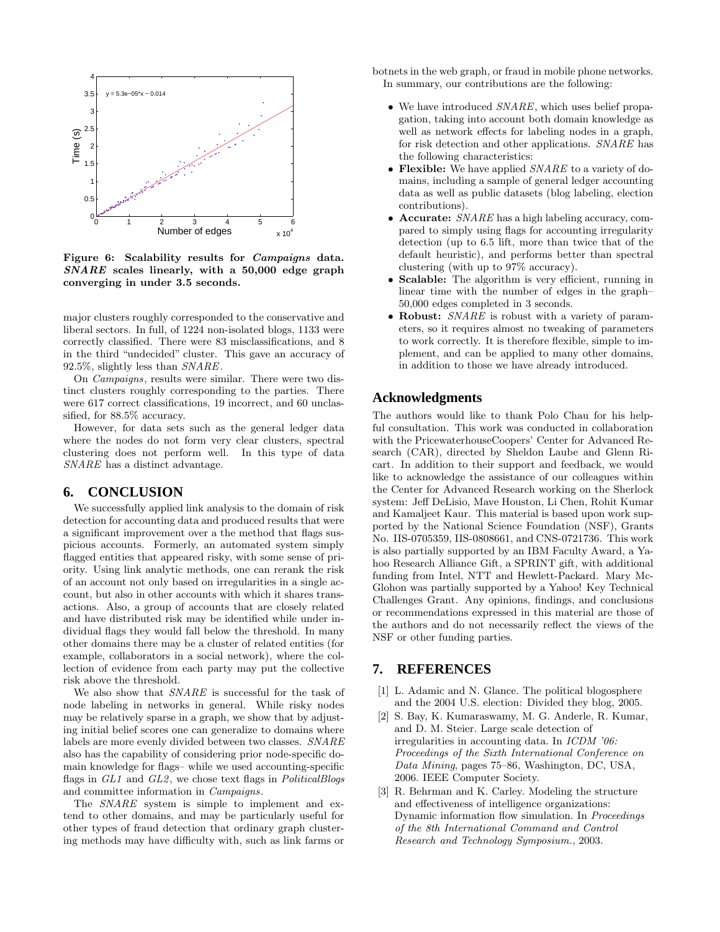

Figure 6: Scalability results for Campaigns data. SNARE scales linearly, with a 50,000 edge graph converging in under 3.5 seconds.

major clusters roughly corresponded to the conservative and liberal sectors. In full, of 1224 non-isolated blogs, 1133 were correctly classified. There were 83 misclassifications, and 8 in the third "undecided" cluster. This gave an accuracy of 92.5%, slightly less than SNARE.

On Campaigns, results were similar. There were two distinct clusters roughly corresponding to the parties. There were 617 correct classifications, 19 incorrect, and 60 unclassified, for 88.5% accuracy.

However, for data sets such as the general ledger data where the nodes do not form very clear clusters, spectral clustering does not perform well. In this type of data SNARE has a distinct advantage.

# **6. CONCLUSION**

We successfully applied link analysis to the domain of risk detection for accounting data and produced results that were a significant improvement over a the method that flags suspicious accounts. Formerly, an automated system simply flagged entities that appeared risky, with some sense of priority. Using link analytic methods, one can rerank the risk of an account not only based on irregularities in a single account, but also in other accounts with which it shares transactions. Also, a group of accounts that are closely related and have distributed risk may be identified while under individual flags they would fall below the threshold. In many other domains there may be a cluster of related entities (for example, collaborators in a social network), where the collection of evidence from each party may put the collective risk above the threshold.

We also show that  $SNARE$  is successful for the task of node labeling in networks in general. While risky nodes may be relatively sparse in a graph, we show that by adjusting initial belief scores one can generalize to domains where labels are more evenly divided between two classes. SNARE also has the capability of considering prior node-specific domain knowledge for flags– while we used accounting-specific flags in GL1 and GL2, we chose text flags in PoliticalBlogs and committee information in Campaigns.

The SNARE system is simple to implement and extend to other domains, and may be particularly useful for other types of fraud detection that ordinary graph clustering methods may have difficulty with, such as link farms or botnets in the web graph, or fraud in mobile phone networks. In summary, our contributions are the following:

- We have introduced  $SNARE$ , which uses belief propagation, taking into account both domain knowledge as well as network effects for labeling nodes in a graph, for risk detection and other applications. SNARE has the following characteristics:
- Flexible: We have applied SNARE to a variety of domains, including a sample of general ledger accounting data as well as public datasets (blog labeling, election contributions).
- Accurate: SNARE has a high labeling accuracy, compared to simply using flags for accounting irregularity detection (up to 6.5 lift, more than twice that of the default heuristic), and performs better than spectral clustering (with up to 97% accuracy).
- Scalable: The algorithm is very efficient, running in linear time with the number of edges in the graph– 50,000 edges completed in 3 seconds.
- Robust: SNARE is robust with a variety of parameters, so it requires almost no tweaking of parameters to work correctly. It is therefore flexible, simple to implement, and can be applied to many other domains, in addition to those we have already introduced.

# **Acknowledgments**

The authors would like to thank Polo Chau for his helpful consultation. This work was conducted in collaboration with the PricewaterhouseCoopers' Center for Advanced Research (CAR), directed by Sheldon Laube and Glenn Ricart. In addition to their support and feedback, we would like to acknowledge the assistance of our colleagues within the Center for Advanced Research working on the Sherlock system: Jeff DeLisio, Mave Houston, Li Chen, Rohit Kumar and Kamaljeet Kaur. This material is based upon work supported by the National Science Foundation (NSF), Grants No. IIS-0705359, IIS-0808661, and CNS-0721736. This work is also partially supported by an IBM Faculty Award, a Yahoo Research Alliance Gift, a SPRINT gift, with additional funding from Intel, NTT and Hewlett-Packard. Mary Mc-Glohon was partially supported by a Yahoo! Key Technical Challenges Grant. Any opinions, findings, and conclusions or recommendations expressed in this material are those of the authors and do not necessarily reflect the views of the NSF or other funding parties.

# **7. REFERENCES**

- [1] L. Adamic and N. Glance. The political blogosphere and the 2004 U.S. election: Divided they blog, 2005.
- [2] S. Bay, K. Kumaraswamy, M. G. Anderle, R. Kumar, and D. M. Steier. Large scale detection of irregularities in accounting data. In ICDM '06: Proceedings of the Sixth International Conference on Data Mining, pages 75–86, Washington, DC, USA, 2006. IEEE Computer Society.
- [3] R. Behrman and K. Carley. Modeling the structure and effectiveness of intelligence organizations: Dynamic information flow simulation. In Proceedings of the 8th International Command and Control Research and Technology Symposium., 2003.